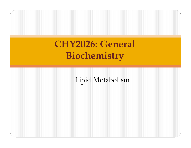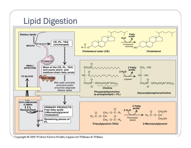## **Lipid Digestion**



Copyright @ 2008 Wolters Kluwer Health | Lippincott Williams & Wilkins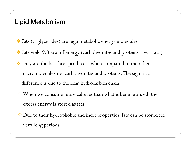- Fats (triglycerides) are high metabolic energy molecules
- Fats yield 9.3 kcal of energy (carbohydrates and proteins 4.1 kcal)
- $\triangle$  They are the best heat producers when compared to the other macromolecules i.e. carbohydrates and proteins. The significant difference is due to the long hydrocarbon chain
- When we consume more calories than what is being utilized, the excess energy is stored as fats
- ◆ Due to their hydrophobic and inert properties, fats can be stored for very long periods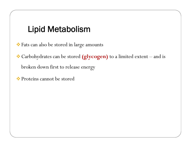Fats can also be stored in large amounts

 Carbohydrates can be stored **(glycogen)** to a limited extent – and is broken down first to release energy

Proteins cannot be stored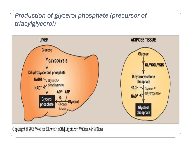#### *Production of glycerol phosphate (precursor of triacylglycerol)*

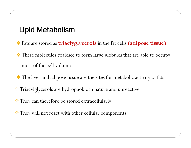- Fats are stored as **triaclyglycerols** in the fat cells **(adipose tissue)**
- $\cdot\cdot$  These molecules coalesce to form large globules that are able to occupy most of the cell volume
- The liver and adipose tissue are the sites for metabolic activity of fats
- $\cdot$  Triacylglycerols are hydrophobic in nature and unreactive
- $\cdot$  They can therefore be stored extracellularly
- \* They will not react with other cellular components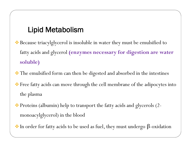- ◆ Because triacylglycerol is insoluble in water they must be emulsified to fatty acids and glycerol **(enzymes necessary for digestion are water soluble)**
- \* The emulsified form can then be digested and absorbed in the intestines
- Free fatty acids can move through the cell membrane of the adipocytes into the plasma
- Proteins (albumin) help to transport the fatty acids and glycerols (2 monoacylglycerol) in the blood
- $\cdot$  In order for fatty acids to be used as fuel, they must undergo  $\beta$ -oxidation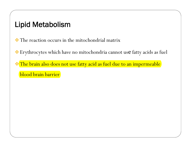The reaction occurs in the mitochondrial matrix

Erythrocytes which have no mitochondria cannot use fatty acids as fuel

The brain also does not use fatty acid as fuel due to an impermeable

blood brain barrier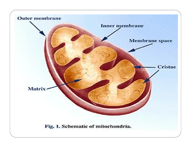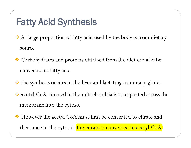## **Fatty Acid Synthesis**

- A large proportion of fatty acid used by the body is from dietary source
- Carbohydrates and proteins obtained from the diet can also be converted to fatty acid
- the synthesis occurs in the liver and lactating mammary glands
- Acetyl CoA formed in the mitochondria is transported across the membrane into the cytosol
- ◆ However the acetyl CoA must first be converted to citrate and then once in the cytosol, the citrate is converted to acetyl CoA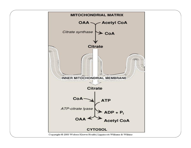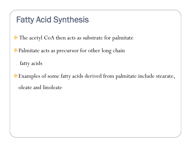### **Fatty Acid Synthesis**

 $\cdot \cdot$  The acetyl CoA then acts as substrate for palmitate

Palmitate acts as precursor for other long chain

fatty acids

Examples of some fatty acids derived from palmitate include stearate, oleate and linoleate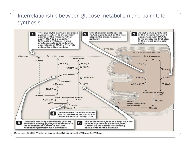#### Interrelationship between glucose metabolism and palmitate synthesis

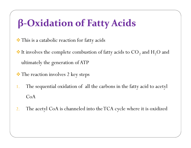- $\cdot\cdot\cdot$  This is a catabolic reaction for fatty acids
- $\cdot$  It involves the complete combustion of fatty acids to CO<sub>2</sub> and H<sub>2</sub>O and ultimately the generation of ATP
- The reaction involves 2 key steps
- 1. The sequential oxidation of all the carbons in the fatty acid to acetyl CoA
- 2. The acetyl CoA is channeled into the TCA cycle where it is oxidized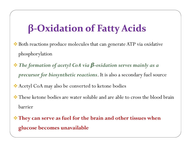- Both reactions produce molecules that can generate ATP via oxidative phosphorylation
- *The formation of acetyl CoA via β-oxidation serves mainly as a precursor for biosynthetic reactions*. It is also a secondary fuel source
- Acetyl CoA may also be converted to ketone bodies
- **\*** These ketone bodies are water soluble and are able to cross the blood brain barrier
- **They can serve as fuel for the brain and other tissues when glucose becomes unavailable**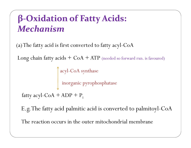## **β-Oxidation of Fatty Acids:** *Mechanism*

(a) The fatty acid is first converted to fatty acyl-CoA

Long chain fatty  $acids + CoA + ATP$  (needed so forward rxn. is favoured)

acyl-CoA synthase inorganic pyrophosphatase

fatty acyl-CoA + ADP +  $P_i$ 

E.g. The fatty acid palmitic acid is converted to palmitoyl-CoA

The reaction occurs in the outer mitochondrial membrane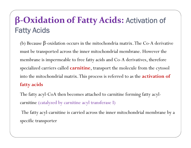## **β-Oxidation of Fatty Acids: Activation of Fatty Acids**

(b) Because -oxidation occurs in the mitochondria matrix.The Co-A derivative must be transported across the inner mitochondrial membrane. However the membrane is impermeable to free fatty acids and Co-A derivatives, therefore specialized carriers called **carnitine**, transport the molecule from the cytosol into the mitochondrial matrix. This process is referred to as the **activation of fatty acids**

The fatty acyl-CoA then becomes attached to carnitine forming fatty acyl carnitine (catalyzed by carnitine acyl transferase I)

The fatty acyl-carnitine is carried across the inner mitochondrial membrane by a specific transporter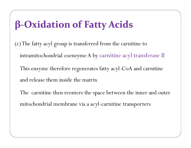(c) The fatty acyl group is transferred from the carnitine to intramitochondrial coenzyme A by carnitine acyl transferase II This enzyme therefore regenerates fatty acyl-CoA and carnitine and release them inside the matrix

The carnitine then reenters the space between the inner and outer mitochondrial membrane via a acyl-carnitine transporters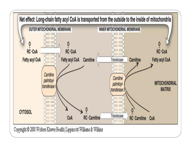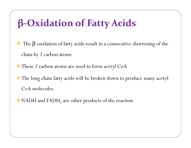The β-oxidation of fatty acids result in a consecutive shortening of the chain by 2 carbon atoms

\* These 2 carbon atoms are used to form acetyl CoA

\* The long chain fatty acids will be broken down to produce many acetyl CoA molecules

 $\bullet$  NADH and FADH<sub>2</sub> are other products of the reaction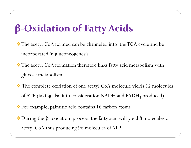- The acetyl CoA formed can be channeled into the TCA cycle and be incorporated in gluconeogenesis
- The acetyl CoA formation therefore links fatty acid metabolism with glucose metabolism
- \* The complete oxidation of one acetyl CoA molecule yields 12 molecules of ATP (taking also into consideration NADH and FADH<sub>2</sub> produced)
- For example, palmitic acid contains 16 carbon atoms
- During the β-oxidation process, the fatty acid will yield 8 molecules of acetyl CoA thus producing 96 molecules of ATP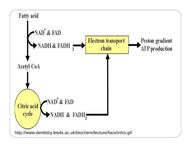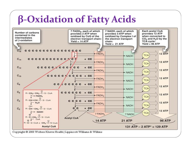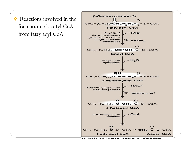formation of acetyl CoA from fatty acyl CoA



Copyright © 2008 Wolters Kluwer Health | Lippincott Williams & Wilkins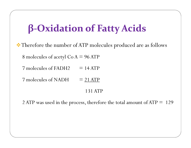Therefore the number of ATP molecules produced are as follows 8 molecules of acetyl Co A = 96 ATP  $7$  molecules of FADH2  $= 14$  ATP

7 molecules of NADH  $= 21$  ATP

#### 131 ATP

2 ATP was used in the process, therefore the total amount of ATP = 129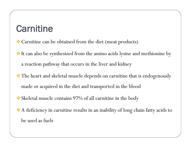## **Carnitine**

- Carnitine can be obtained from the diet (meat products)
- It can also be synthesized from the amino acids lysine and methionine by a reaction pathway that occurs in the liver and kidney
- $\cdot$  The heart and skeletal muscle depends on carnitine that is endogenously made or acquired in the diet and transported in the blood
- Skeletal muscle contains 97% of all carnitine in the body
- A deficiency in carnitine results in an inability of long chain fatty acids to be used as fuels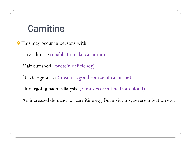## **Carnitine**

 $\cdot$  This may occur in persons with Liver disease (unable to make carnitine) Malnourished (protein deficiency)

Strict vegetarian (meat is a good source of carnitine)

Undergoing haemodialysis (removes carnitine from blood)

An increased demand for carnitine e.g. Burn victims, severe infection etc.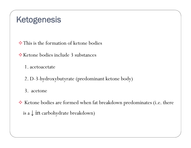## **Ketogenesis**

This is the formation of ketone bodies

Ketone bodies include 3 substances

1. acetoacetate

2. D-3-hydroxybutyrate (predominant ketone body)

3. acetone

\* Ketone bodies are formed when fat breakdown predominates (i.e. there is a  $\downarrow$  in carbohydrate breakdown)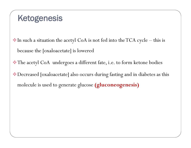## **Ketogenesis**

In such a situation the acetyl CoA is not fed into the TCA cycle – this is because the [oxaloacetate] is lowered

The acetyl CoA undergoes a different fate, i.e. to form ketone bodies

Decreased [oxaloacetate] also occurs during fasting and in diabetes as this molecule is used to generate glucose **(gluconeogenesis)**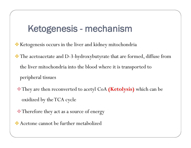## **Ketogenesis - mechanism**

- \* Ketogenesis occurs in the liver and kidney mitochondria
- The acetoacetate and D-3-hydroxybutyrate that are formed, diffuse from the liver mitochondria into the blood where it is transported to peripheral tissues
	- They are then reconverted to acetyl CoA **(Ketolysis)** which can be oxidized by the TCA cycle
- Therefore they act as a source of energy
- Acetone cannot be further metabolized